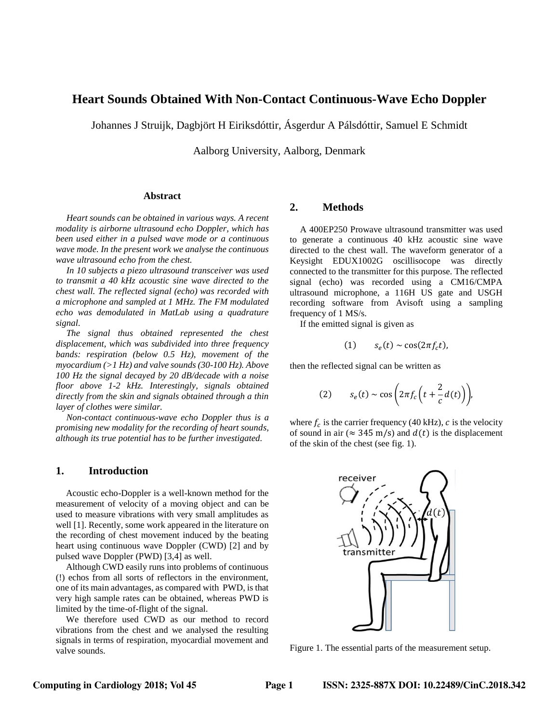# **Heart Sounds Obtained With Non-Contact Continuous-Wave Echo Doppler**

Johannes J Struijk, Dagbjört H Eiriksdóttir, Ásgerdur A Pálsdóttir, Samuel E Schmidt

Aalborg University, Aalborg, Denmark

### **Abstract**

*Heart sounds can be obtained in various ways. A recent modality is airborne ultrasound echo Doppler, which has been used either in a pulsed wave mode or a continuous wave mode. In the present work we analyse the continuous wave ultrasound echo from the chest.*

*In 10 subjects a piezo ultrasound transceiver was used to transmit a 40 kHz acoustic sine wave directed to the chest wall. The reflected signal (echo) was recorded with a microphone and sampled at 1 MHz. The FM modulated echo was demodulated in MatLab using a quadrature signal.*

*The signal thus obtained represented the chest displacement, which was subdivided into three frequency bands: respiration (below 0.5 Hz), movement of the myocardium (>1 Hz) and valve sounds (30-100 Hz). Above 100 Hz the signal decayed by 20 dB/decade with a noise floor above 1-2 kHz. Interestingly, signals obtained directly from the skin and signals obtained through a thin layer of clothes were similar.*

*Non-contact continuous-wave echo Doppler thus is a promising new modality for the recording of heart sounds, although its true potential has to be further investigated.*

#### **1. Introduction**

Acoustic echo-Doppler is a well-known method for the measurement of velocity of a moving object and can be used to measure vibrations with very small amplitudes as well [1]. Recently, some work appeared in the literature on the recording of chest movement induced by the beating heart using continuous wave Doppler (CWD) [2] and by pulsed wave Doppler (PWD) [3,4] as well.

Although CWD easily runs into problems of continuous (!) echos from all sorts of reflectors in the environment, one of its main advantages, as compared with PWD, is that very high sample rates can be obtained, whereas PWD is limited by the time-of-flight of the signal.

We therefore used CWD as our method to record vibrations from the chest and we analysed the resulting signals in terms of respiration, myocardial movement and valve sounds.

## **2. Methods**

A 400EP250 Prowave ultrasound transmitter was used to generate a continuous 40 kHz acoustic sine wave directed to the chest wall. The waveform generator of a Keysight EDUX1002G oscillisocope was directly connected to the transmitter for this purpose. The reflected signal (echo) was recorded using a CM16/CMPA ultrasound microphone, a 116H US gate and USGH recording software from Avisoft using a sampling frequency of 1 MS/s.

If the emitted signal is given as

$$
(1) \t s_e(t) \sim \cos(2\pi f_c t),
$$

then the reflected signal can be written as

(2) 
$$
s_e(t) \sim \cos\left(2\pi f_c\left(t + \frac{2}{c}d(t)\right)\right),
$$

where  $f_c$  is the carrier frequency (40 kHz),  $c$  is the velocity of sound in air ( $\approx$  345 m/s) and  $d(t)$  is the displacement of the skin of the chest (see fig. 1).



Figure 1. The essential parts of the measurement setup.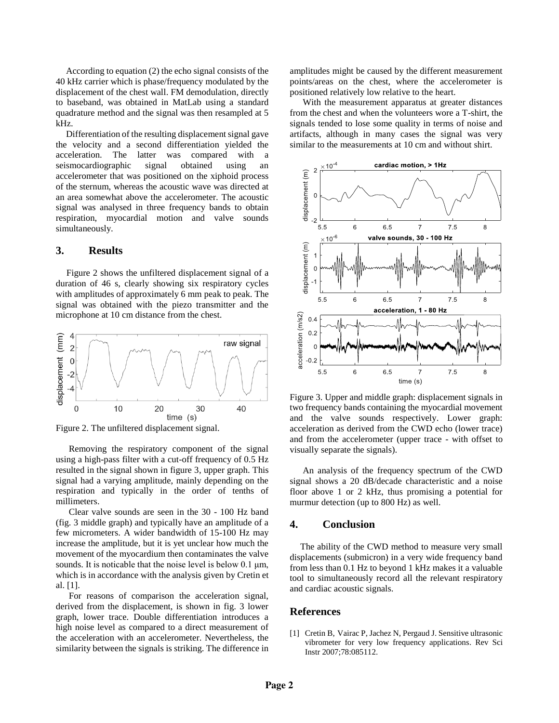According to equation (2) the echo signal consists of the 40 kHz carrier which is phase/frequency modulated by the displacement of the chest wall. FM demodulation, directly to baseband, was obtained in MatLab using a standard quadrature method and the signal was then resampled at 5 kHz.

Differentiation of the resulting displacement signal gave the velocity and a second differentiation yielded the acceleration. The latter was compared with a seismocardiographic signal obtained using an accelerometer that was positioned on the xiphoid process of the sternum, whereas the acoustic wave was directed at an area somewhat above the accelerometer. The acoustic signal was analysed in three frequency bands to obtain respiration, myocardial motion and valve sounds simultaneously.

# **3. Results**

Figure 2 shows the unfiltered displacement signal of a duration of 46 s, clearly showing six respiratory cycles with amplitudes of approximately 6 mm peak to peak. The signal was obtained with the piezo transmitter and the microphone at 10 cm distance from the chest.



Figure 2. The unfiltered displacement signal.

Removing the respiratory component of the signal using a high-pass filter with a cut-off frequency of 0.5 Hz resulted in the signal shown in figure 3, upper graph. This signal had a varying amplitude, mainly depending on the respiration and typically in the order of tenths of millimeters.

Clear valve sounds are seen in the 30 - 100 Hz band (fig. 3 middle graph) and typically have an amplitude of a few micrometers. A wider bandwidth of 15-100 Hz may increase the amplitude, but it is yet unclear how much the movement of the myocardium then contaminates the valve sounds. It is noticable that the noise level is below 0.1 μm, which is in accordance with the analysis given by Cretin et al. [1].

For reasons of comparison the acceleration signal, derived from the displacement, is shown in fig. 3 lower graph, lower trace. Double differentiation introduces a high noise level as compared to a direct measurement of the acceleration with an accelerometer. Nevertheless, the similarity between the signals is striking. The difference in

amplitudes might be caused by the different measurement points/areas on the chest, where the accelerometer is positioned relatively low relative to the heart.

With the measurement apparatus at greater distances from the chest and when the volunteers wore a T-shirt, the signals tended to lose some quality in terms of noise and artifacts, although in many cases the signal was very similar to the measurements at 10 cm and without shirt.



Figure 3. Upper and middle graph: displacement signals in two frequency bands containing the myocardial movement and the valve sounds respectively. Lower graph: acceleration as derived from the CWD echo (lower trace) and from the accelerometer (upper trace - with offset to visually separate the signals).

An analysis of the frequency spectrum of the CWD signal shows a 20 dB/decade characteristic and a noise floor above 1 or 2 kHz, thus promising a potential for murmur detection (up to 800 Hz) as well.

## **4. Conclusion**

The ability of the CWD method to measure very small displacements (submicron) in a very wide frequency band from less than 0.1 Hz to beyond 1 kHz makes it a valuable tool to simultaneously record all the relevant respiratory and cardiac acoustic signals.

#### **References**

[1] Cretin B, Vairac P, Jachez N, Pergaud J. Sensitive ultrasonic vibrometer for very low frequency applications. Rev Sci Instr 2007;78:085112.